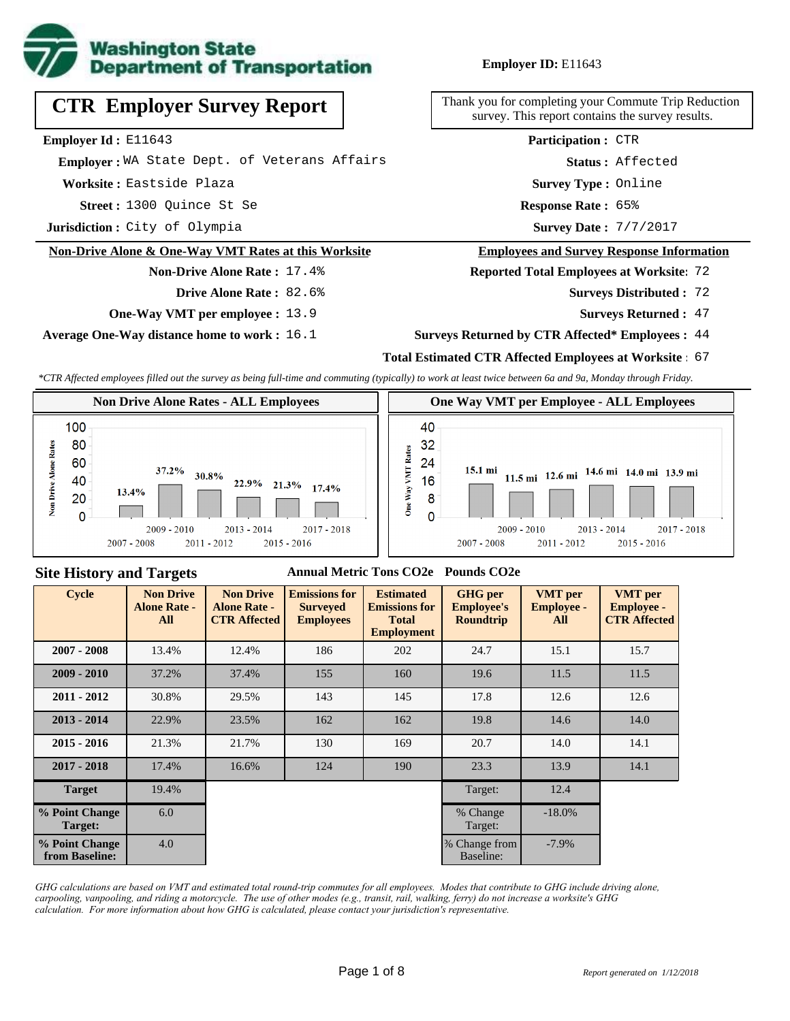

# **Employer ID:** E11643

**CTR Employer Survey Report**

**Employer Id :** E11643

 **Employer :** WA State Dept. of Veterans Affairs

**Worksite :** Eastside Plaza

1300 Quince St Se **Response Rate : Street :**

**Jurisdiction :** City of Olympia

#### **Non-Drive Alone & One-Way VMT Rates at this Worksite**

**Non-Drive Alone Rate :** 17.4% **Drive Alone Rate :** 82.6%

- 
- **One-Way VMT per employee :** 13.9

**Average One-Way distance home to work :** 16.1

Thank you for completing your Commute Trip Reduction survey. This report contains the survey results.

> **Status :** Affected **Participation :** CTR

**Survey Type :** Online

Response Rate: 65%

Survey Date: 7/7/2017

#### **Employees and Survey Response Information**

**Reported Total Employees at Worksite:** 72

- 72 **Surveys Distributed :**
	- **Surveys Returned :** 47

#### **Surveys Returned by CTR Affected\* Employees :** 44

#### **Total Estimated CTR Affected Employees at Worksite :** 67

*\*CTR Affected employees filled out the survey as being full-time and commuting (typically) to work at least twice between 6a and 9a, Monday through Friday.*



#### **Site History and Targets**

#### **Annual Metric Tons CO2e Pounds CO2e**

| <b>Cycle</b>                     | <b>Non Drive</b><br><b>Alone Rate -</b><br>All | <b>Non Drive</b><br><b>Alone Rate -</b><br><b>CTR Affected</b> | <b>Emissions for</b><br><b>Surveyed</b><br><b>Employees</b> | <b>Estimated</b><br><b>Emissions for</b><br><b>Total</b><br><b>Employment</b> | <b>GHG</b> per<br><b>Employee's</b><br><b>Roundtrip</b> | <b>VMT</b> per<br><b>Employee -</b><br>All | <b>VMT</b> per<br><b>Employee -</b><br><b>CTR Affected</b> |
|----------------------------------|------------------------------------------------|----------------------------------------------------------------|-------------------------------------------------------------|-------------------------------------------------------------------------------|---------------------------------------------------------|--------------------------------------------|------------------------------------------------------------|
| $2007 - 2008$                    | 13.4%                                          | 12.4%                                                          | 186                                                         | 202                                                                           | 24.7                                                    | 15.1                                       | 15.7                                                       |
| $2009 - 2010$                    | 37.2%                                          | 37.4%                                                          | 155                                                         | 160                                                                           | 19.6                                                    | 11.5                                       | 11.5                                                       |
| $2011 - 2012$                    | 30.8%                                          | 29.5%                                                          | 143                                                         | 145                                                                           | 17.8                                                    | 12.6                                       | 12.6                                                       |
| $2013 - 2014$                    | 22.9%                                          | 23.5%                                                          | 162                                                         | 162                                                                           | 19.8                                                    | 14.6                                       | 14.0                                                       |
| $2015 - 2016$                    | 21.3%                                          | 21.7%                                                          | 130                                                         | 169                                                                           | 20.7                                                    | 14.0                                       | 14.1                                                       |
| $2017 - 2018$                    | 17.4%                                          | 16.6%                                                          | 124                                                         | 190                                                                           | 23.3                                                    | 13.9                                       | 14.1                                                       |
| <b>Target</b>                    | 19.4%                                          |                                                                |                                                             |                                                                               | Target:                                                 | 12.4                                       |                                                            |
| % Point Change<br>Target:        | 6.0                                            |                                                                |                                                             |                                                                               | % Change<br>Target:                                     | $-18.0\%$                                  |                                                            |
| % Point Change<br>from Baseline: | 4.0                                            |                                                                |                                                             |                                                                               | % Change from<br>Baseline:                              | $-7.9\%$                                   |                                                            |

*GHG calculations are based on VMT and estimated total round-trip commutes for all employees. Modes that contribute to GHG include driving alone, carpooling, vanpooling, and riding a motorcycle. The use of other modes (e.g., transit, rail, walking, ferry) do not increase a worksite's GHG calculation. For more information about how GHG is calculated, please contact your jurisdiction's representative.*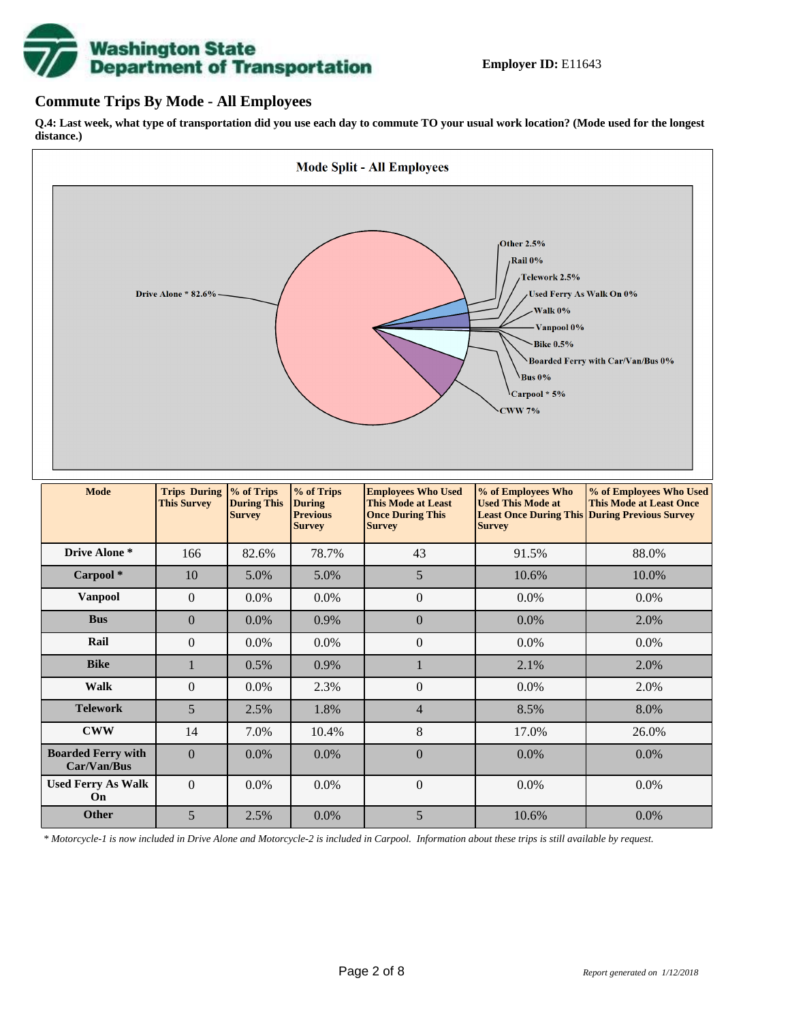# **Washington State<br>Department of Transportation**

#### **Commute Trips By Mode - All Employees**

**Q.4: Last week, what type of transportation did you use each day to commute TO your usual work location? (Mode used for the longest distance.)**



*\* Motorcycle-1 is now included in Drive Alone and Motorcycle-2 is included in Carpool. Information about these trips is still available by request.*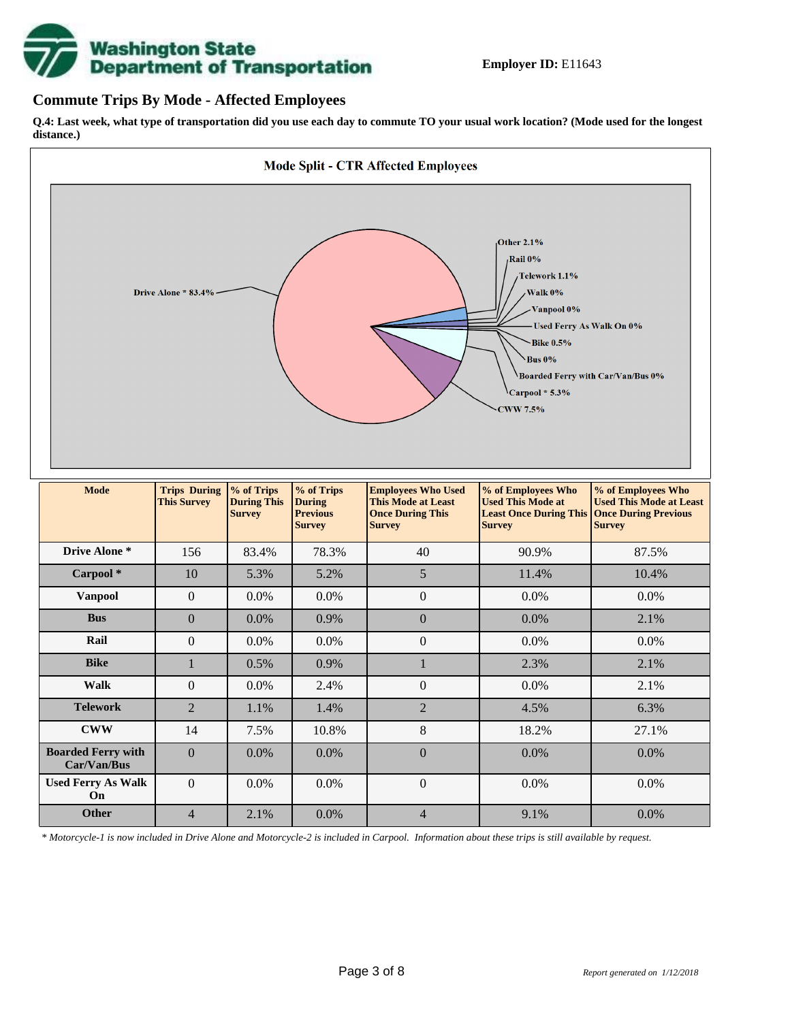

#### **Commute Trips By Mode - Affected Employees**

**Q.4: Last week, what type of transportation did you use each day to commute TO your usual work location? (Mode used for the longest distance.)**



*\* Motorcycle-1 is now included in Drive Alone and Motorcycle-2 is included in Carpool. Information about these trips is still available by request.*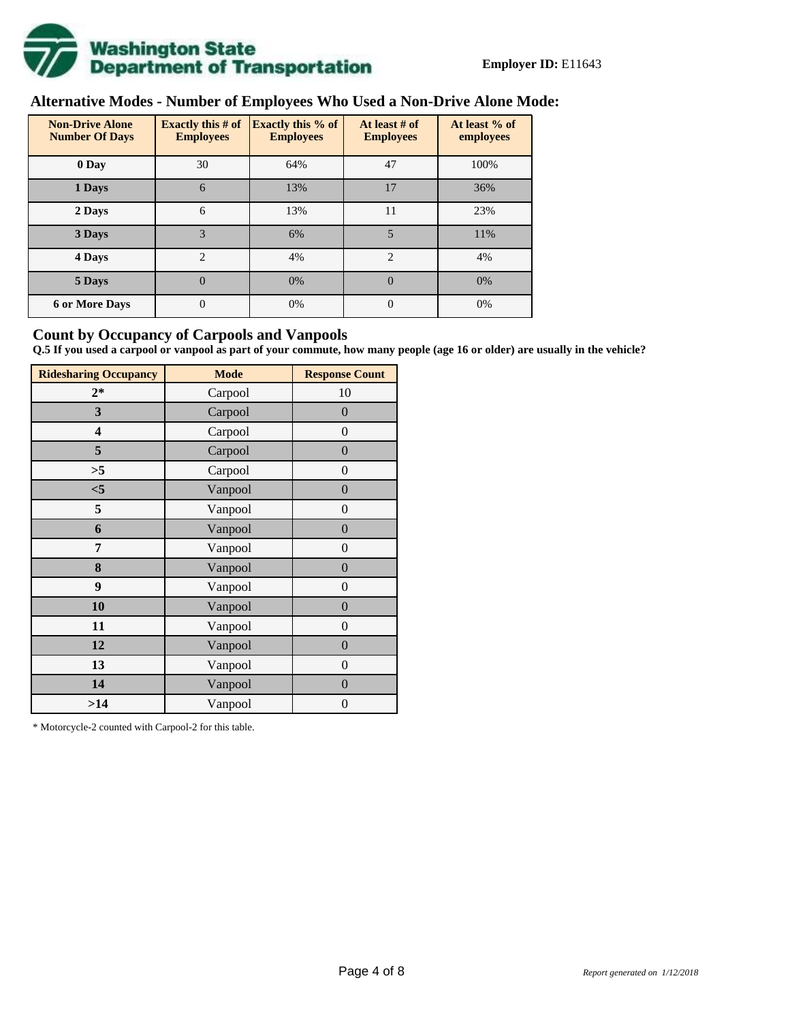

# **Alternative Modes - Number of Employees Who Used a Non-Drive Alone Mode:**

| <b>Non-Drive Alone</b><br><b>Number Of Days</b> | <b>Exactly this # of</b><br><b>Employees</b> | <b>Exactly this % of</b><br><b>Employees</b> | At least # of<br><b>Employees</b> | At least % of<br>employees |  |  |
|-------------------------------------------------|----------------------------------------------|----------------------------------------------|-----------------------------------|----------------------------|--|--|
| 0 Day                                           | 30                                           | 64%                                          | 47                                | 100%                       |  |  |
| 1 Days                                          | 6                                            | 13%                                          | 17                                | 36%                        |  |  |
| 2 Days                                          | 6                                            | 13%                                          | 11                                | 23%                        |  |  |
| 3 Days                                          | 3                                            | 6%                                           | 5                                 | 11%                        |  |  |
| 4 Days                                          | $\overline{2}$                               | 4%                                           | $\overline{c}$                    | 4%                         |  |  |
| 5 Days                                          | $\overline{0}$                               | 0%                                           | $\Omega$                          | 0%                         |  |  |
| <b>6 or More Days</b>                           | $\theta$                                     | 0%                                           | $\Omega$                          | 0%                         |  |  |

#### **Count by Occupancy of Carpools and Vanpools**

**Q.5 If you used a carpool or vanpool as part of your commute, how many people (age 16 or older) are usually in the vehicle?**

| <b>Ridesharing Occupancy</b> | <b>Mode</b> | <b>Response Count</b> |
|------------------------------|-------------|-----------------------|
| $2*$                         | Carpool     | 10                    |
| 3                            | Carpool     | $\overline{0}$        |
| 4                            | Carpool     | $\boldsymbol{0}$      |
| 5                            | Carpool     | $\boldsymbol{0}$      |
| >5                           | Carpool     | $\overline{0}$        |
| $<$ 5                        | Vanpool     | $\overline{0}$        |
| 5                            | Vanpool     | $\overline{0}$        |
| 6                            | Vanpool     | $\boldsymbol{0}$      |
| 7                            | Vanpool     | $\overline{0}$        |
| 8                            | Vanpool     | $\boldsymbol{0}$      |
| 9                            | Vanpool     | $\overline{0}$        |
| 10                           | Vanpool     | $\overline{0}$        |
| 11                           | Vanpool     | $\boldsymbol{0}$      |
| 12                           | Vanpool     | $\boldsymbol{0}$      |
| 13                           | Vanpool     | $\boldsymbol{0}$      |
| 14                           | Vanpool     | $\overline{0}$        |
| >14                          | Vanpool     | $\boldsymbol{0}$      |

\* Motorcycle-2 counted with Carpool-2 for this table.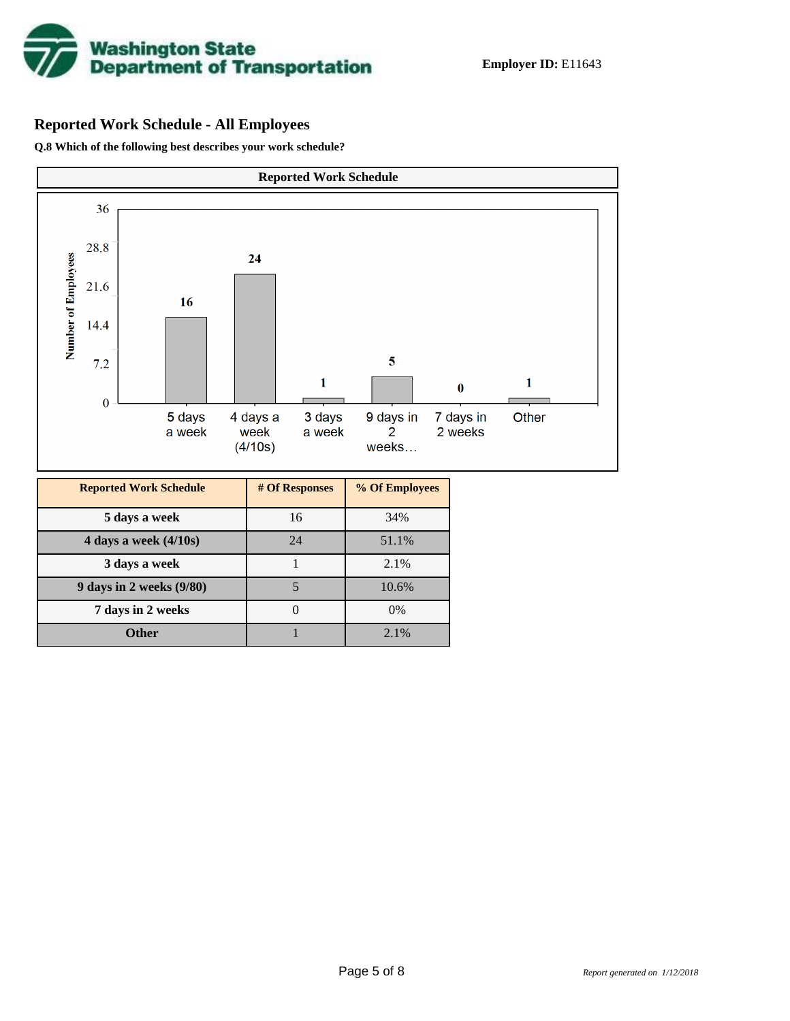

# **Reported Work Schedule - All Employees**

**Q.8 Which of the following best describes your work schedule?**

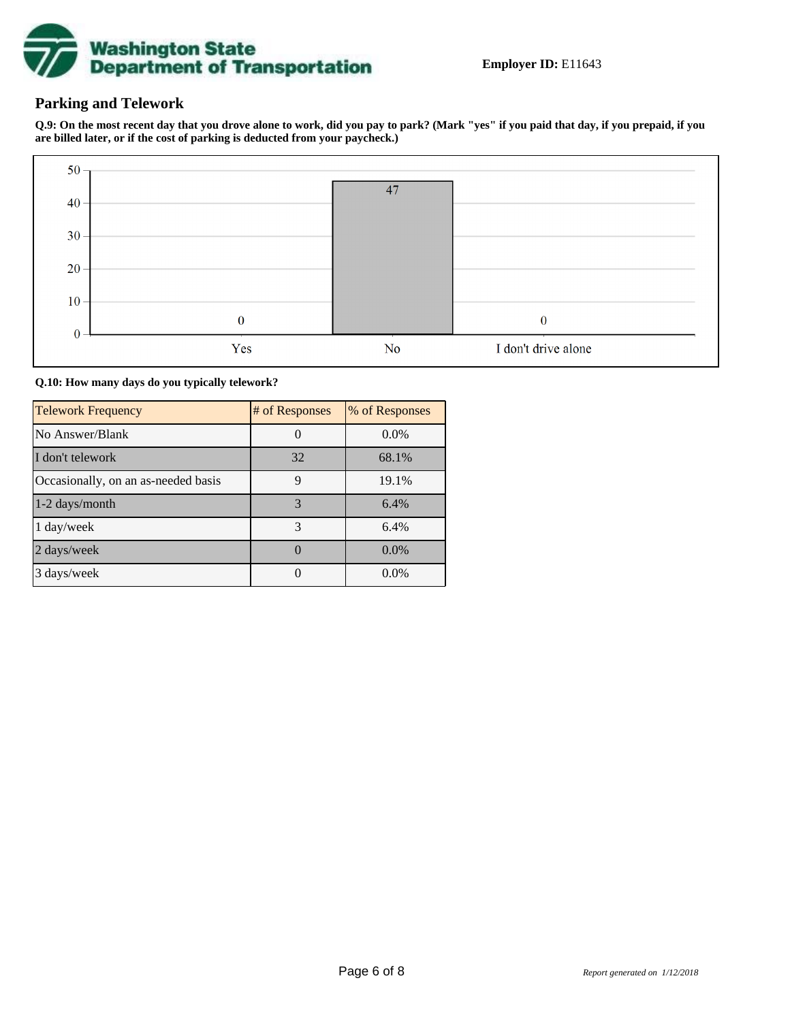

### **Parking and Telework**

**Q.9: On the most recent day that you drove alone to work, did you pay to park? (Mark "yes" if you paid that day, if you prepaid, if you are billed later, or if the cost of parking is deducted from your paycheck.)**



**Q.10: How many days do you typically telework?**

| <b>Telework Frequency</b>           | # of Responses | % of Responses |
|-------------------------------------|----------------|----------------|
| No Answer/Blank                     |                | $0.0\%$        |
| I don't telework                    | 32             | 68.1%          |
| Occasionally, on an as-needed basis | 9              | 19.1%          |
| 1-2 days/month                      | 3              | 6.4%           |
| 1 day/week                          | 3              | 6.4%           |
| 2 days/week                         |                | $0.0\%$        |
| 3 days/week                         |                | $0.0\%$        |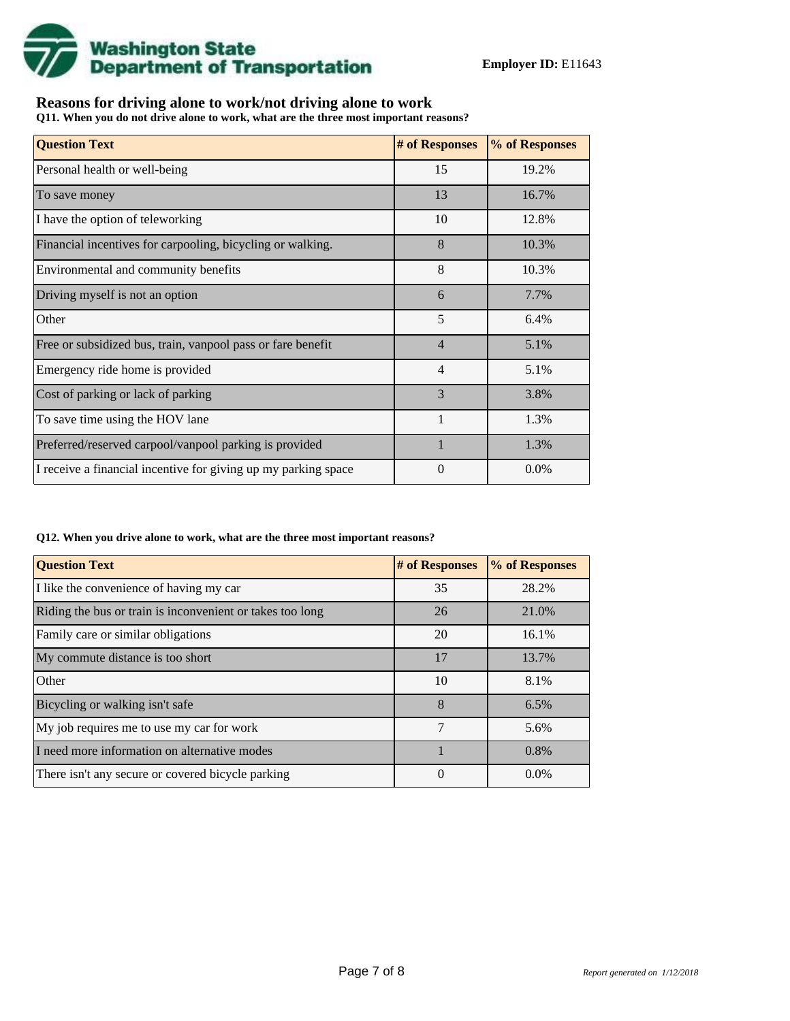

## **Reasons for driving alone to work/not driving alone to work**

**Q11. When you do not drive alone to work, what are the three most important reasons?**

| <b>Question Text</b>                                           | # of Responses | % of Responses |
|----------------------------------------------------------------|----------------|----------------|
| Personal health or well-being                                  | 15             | 19.2%          |
| To save money                                                  | 13             | 16.7%          |
| I have the option of teleworking                               | 10             | 12.8%          |
| Financial incentives for carpooling, bicycling or walking.     | 8              | 10.3%          |
| Environmental and community benefits                           | 8              | 10.3%          |
| Driving myself is not an option                                | 6              | 7.7%           |
| Other                                                          | 5              | 6.4%           |
| Free or subsidized bus, train, vanpool pass or fare benefit    | $\overline{4}$ | 5.1%           |
| Emergency ride home is provided                                | $\overline{4}$ | 5.1%           |
| Cost of parking or lack of parking                             | 3              | 3.8%           |
| To save time using the HOV lane                                |                | 1.3%           |
| Preferred/reserved carpool/vanpool parking is provided         | $\mathbf{1}$   | 1.3%           |
| I receive a financial incentive for giving up my parking space | $\Omega$       | 0.0%           |

#### **Q12. When you drive alone to work, what are the three most important reasons?**

| <b>Question Text</b>                                      | # of Responses | % of Responses |
|-----------------------------------------------------------|----------------|----------------|
| I like the convenience of having my car                   | 35             | 28.2%          |
| Riding the bus or train is inconvenient or takes too long | 26             | 21.0%          |
| Family care or similar obligations                        | 20             | 16.1%          |
| My commute distance is too short                          | 17             | 13.7%          |
| Other                                                     | 10             | 8.1%           |
| Bicycling or walking isn't safe                           | 8              | 6.5%           |
| My job requires me to use my car for work                 | 7              | 5.6%           |
| I need more information on alternative modes              |                | 0.8%           |
| There isn't any secure or covered bicycle parking         | $\theta$       | $0.0\%$        |